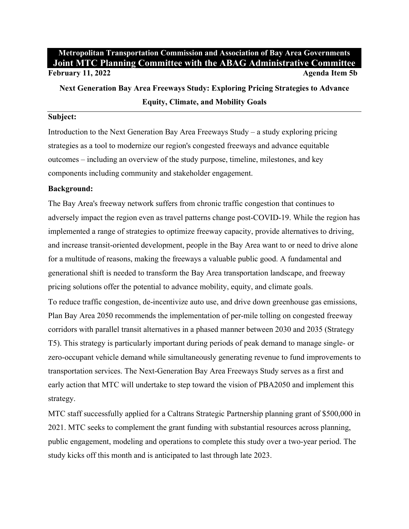# **Metropolitan Transportation Commission and Association of Bay Area Governments Joint MTC Planning Committee with the ABAG Administrative Committee February 11, 2022 Agenda Item 5b**

**Next Generation Bay Area Freeways Study: Exploring Pricing Strategies to Advance Equity, Climate, and Mobility Goals**

## **Subject:**

Introduction to the Next Generation Bay Area Freeways Study – a study exploring pricing strategies as a tool to modernize our region's congested freeways and advance equitable outcomes – including an overview of the study purpose, timeline, milestones, and key components including community and stakeholder engagement.

### **Background:**

The Bay Area's freeway network suffers from chronic traffic congestion that continues to adversely impact the region even as travel patterns change post-COVID-19. While the region has implemented a range of strategies to optimize freeway capacity, provide alternatives to driving, and increase transit-oriented development, people in the Bay Area want to or need to drive alone for a multitude of reasons, making the freeways a valuable public good. A fundamental and generational shift is needed to transform the Bay Area transportation landscape, and freeway pricing solutions offer the potential to advance mobility, equity, and climate goals.

To reduce traffic congestion, de-incentivize auto use, and drive down greenhouse gas emissions, Plan Bay Area 2050 recommends the implementation of per-mile tolling on congested freeway corridors with parallel transit alternatives in a phased manner between 2030 and 2035 (Strategy T5). This strategy is particularly important during periods of peak demand to manage single- or zero-occupant vehicle demand while simultaneously generating revenue to fund improvements to transportation services. The Next-Generation Bay Area Freeways Study serves as a first and early action that MTC will undertake to step toward the vision of PBA2050 and implement this strategy.

MTC staff successfully applied for a Caltrans Strategic Partnership planning grant of \$500,000 in 2021. MTC seeks to complement the grant funding with substantial resources across planning, public engagement, modeling and operations to complete this study over a two-year period. The study kicks off this month and is anticipated to last through late 2023.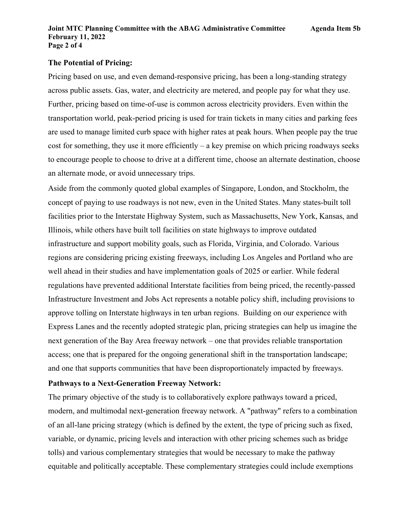## **The Potential of Pricing:**

Pricing based on use, and even demand-responsive pricing, has been a long-standing strategy across public assets. Gas, water, and electricity are metered, and people pay for what they use. Further, pricing based on time-of-use is common across electricity providers. Even within the transportation world, peak-period pricing is used for train tickets in many cities and parking fees are used to manage limited curb space with higher rates at peak hours. When people pay the true cost for something, they use it more efficiently – a key premise on which pricing roadways seeks to encourage people to choose to drive at a different time, choose an alternate destination, choose an alternate mode, or avoid unnecessary trips.

Aside from the commonly quoted global examples of Singapore, London, and Stockholm, the concept of paying to use roadways is not new, even in the United States. Many states-built toll facilities prior to the Interstate Highway System, such as Massachusetts, New York, Kansas, and Illinois, while others have built toll facilities on state highways to improve outdated infrastructure and support mobility goals, such as Florida, Virginia, and Colorado. Various regions are considering pricing existing freeways, including Los Angeles and Portland who are well ahead in their studies and have implementation goals of 2025 or earlier. While federal regulations have prevented additional Interstate facilities from being priced, the recently-passed Infrastructure Investment and Jobs Act represents a notable policy shift, including provisions to approve tolling on Interstate highways in ten urban regions. Building on our experience with Express Lanes and the recently adopted strategic plan, pricing strategies can help us imagine the next generation of the Bay Area freeway network – one that provides reliable transportation access; one that is prepared for the ongoing generational shift in the transportation landscape; and one that supports communities that have been disproportionately impacted by freeways.

#### **Pathways to a Next-Generation Freeway Network:**

The primary objective of the study is to collaboratively explore pathways toward a priced, modern, and multimodal next-generation freeway network. A "pathway" refers to a combination of an all-lane pricing strategy (which is defined by the extent, the type of pricing such as fixed, variable, or dynamic, pricing levels and interaction with other pricing schemes such as bridge tolls) and various complementary strategies that would be necessary to make the pathway equitable and politically acceptable. These complementary strategies could include exemptions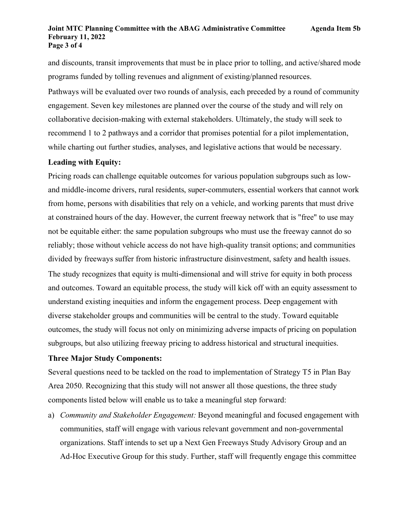#### **Joint MTC Planning Committee with the ABAG Administrative Committee Agenda Item 5b February 11, 2022 Page 3 of 4**

and discounts, transit improvements that must be in place prior to tolling, and active/shared mode programs funded by tolling revenues and alignment of existing/planned resources.

Pathways will be evaluated over two rounds of analysis, each preceded by a round of community engagement. Seven key milestones are planned over the course of the study and will rely on collaborative decision-making with external stakeholders. Ultimately, the study will seek to recommend 1 to 2 pathways and a corridor that promises potential for a pilot implementation, while charting out further studies, analyses, and legislative actions that would be necessary.

# **Leading with Equity:**

Pricing roads can challenge equitable outcomes for various population subgroups such as lowand middle-income drivers, rural residents, super-commuters, essential workers that cannot work from home, persons with disabilities that rely on a vehicle, and working parents that must drive at constrained hours of the day. However, the current freeway network that is "free" to use may not be equitable either: the same population subgroups who must use the freeway cannot do so reliably; those without vehicle access do not have high-quality transit options; and communities divided by freeways suffer from historic infrastructure disinvestment, safety and health issues. The study recognizes that equity is multi-dimensional and will strive for equity in both process and outcomes. Toward an equitable process, the study will kick off with an equity assessment to understand existing inequities and inform the engagement process. Deep engagement with diverse stakeholder groups and communities will be central to the study. Toward equitable outcomes, the study will focus not only on minimizing adverse impacts of pricing on population subgroups, but also utilizing freeway pricing to address historical and structural inequities.

## **Three Major Study Components:**

Several questions need to be tackled on the road to implementation of Strategy T5 in Plan Bay Area 2050. Recognizing that this study will not answer all those questions, the three study components listed below will enable us to take a meaningful step forward:

a) *Community and Stakeholder Engagement:* Beyond meaningful and focused engagement with communities, staff will engage with various relevant government and non-governmental organizations. Staff intends to set up a Next Gen Freeways Study Advisory Group and an Ad-Hoc Executive Group for this study. Further, staff will frequently engage this committee